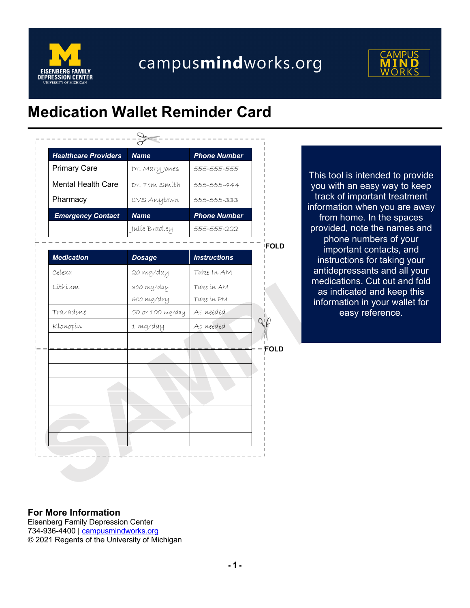

## campusmindworks.org



## **Medication Wallet Reminder Card**

| <b>Healthcare Providers</b> | <b>Name</b>      | <b>Phone Number</b> |                   |                                           |
|-----------------------------|------------------|---------------------|-------------------|-------------------------------------------|
| <b>Primary Care</b>         | Dr. Mary Jones   | 555-555-555         |                   | This tool is intended                     |
| <b>Mental Health Care</b>   | Dr. Tom Smith    | 555-555-444         |                   | you with an easy w                        |
| Pharmacy                    | CVS Anytown      | 555-555-333         |                   | track of important<br>information when yo |
| <b>Emergency Contact</b>    | <b>Name</b>      | <b>Phone Number</b> |                   | from home. In the                         |
|                             | Julie Bradley    | 555-555-222         |                   | provided, note the r                      |
|                             |                  |                     | FOLD              | phone numbers<br>important conta          |
| <b>Medication</b>           | <b>Dosage</b>    | <b>Instructions</b> |                   | instructions for tal                      |
| Celexa                      | 20 mg/day        | Take In AM          |                   | antidepressants ar                        |
| Líthíum                     | 300 mg/day       | Take in AM          |                   | medications. Cut o<br>as indicated and    |
|                             | 600 mg/day       | Take in PM          |                   | information in your                       |
| Trazadone                   | 50 or 100 mg/day | As needed           |                   | easy referer                              |
| Klonopín                    | 1 mg/day         | As needed           | $Q_1 \mathcal{L}$ |                                           |
|                             |                  |                     | <b>FOLD</b>       |                                           |
|                             |                  |                     |                   |                                           |
|                             |                  |                     |                   |                                           |
|                             |                  |                     |                   |                                           |
|                             |                  |                     |                   |                                           |
|                             |                  |                     |                   |                                           |
|                             |                  |                     |                   |                                           |
|                             |                  |                     |                   |                                           |

This tool is intended to provide you with an easy way to keep track of important treatment information when you are away from home. In the spaces provided, note the names and phone numbers of your important contacts, and instructions for taking your antidepressants and all your medications. Cut out and fold as indicated and keep this information in your wallet for easy reference.

## **For More Information**

Eisenberg Family Depression Center 734-936-4400 | campusmindworks.org © 2021 Regents of the University of Michigan